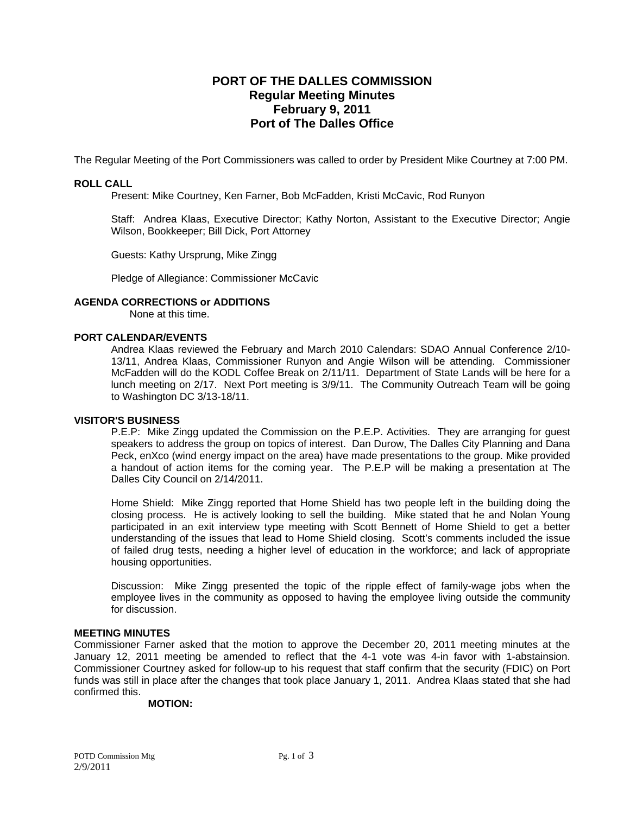# **PORT OF THE DALLES COMMISSION Regular Meeting Minutes February 9, 2011 Port of The Dalles Office**

The Regular Meeting of the Port Commissioners was called to order by President Mike Courtney at 7:00 PM.

## **ROLL CALL**

Present: Mike Courtney, Ken Farner, Bob McFadden, Kristi McCavic, Rod Runyon

Staff: Andrea Klaas, Executive Director; Kathy Norton, Assistant to the Executive Director; Angie Wilson, Bookkeeper; Bill Dick, Port Attorney

Guests: Kathy Ursprung, Mike Zingg

Pledge of Allegiance: Commissioner McCavic

## **AGENDA CORRECTIONS or ADDITIONS**

None at this time.

#### **PORT CALENDAR/EVENTS**

Andrea Klaas reviewed the February and March 2010 Calendars: SDAO Annual Conference 2/10- 13/11, Andrea Klaas, Commissioner Runyon and Angie Wilson will be attending. Commissioner McFadden will do the KODL Coffee Break on 2/11/11. Department of State Lands will be here for a lunch meeting on 2/17. Next Port meeting is 3/9/11. The Community Outreach Team will be going to Washington DC 3/13-18/11.

## **VISITOR'S BUSINESS**

P.E.P: Mike Zingg updated the Commission on the P.E.P. Activities. They are arranging for guest speakers to address the group on topics of interest. Dan Durow, The Dalles City Planning and Dana Peck, enXco (wind energy impact on the area) have made presentations to the group. Mike provided a handout of action items for the coming year. The P.E.P will be making a presentation at The Dalles City Council on 2/14/2011.

Home Shield: Mike Zingg reported that Home Shield has two people left in the building doing the closing process. He is actively looking to sell the building. Mike stated that he and Nolan Young participated in an exit interview type meeting with Scott Bennett of Home Shield to get a better understanding of the issues that lead to Home Shield closing. Scott's comments included the issue of failed drug tests, needing a higher level of education in the workforce; and lack of appropriate housing opportunities.

Discussion: Mike Zingg presented the topic of the ripple effect of family-wage jobs when the employee lives in the community as opposed to having the employee living outside the community for discussion.

# **MEETING MINUTES**

Commissioner Farner asked that the motion to approve the December 20, 2011 meeting minutes at the January 12, 2011 meeting be amended to reflect that the 4-1 vote was 4-in favor with 1-abstainsion. Commissioner Courtney asked for follow-up to his request that staff confirm that the security (FDIC) on Port funds was still in place after the changes that took place January 1, 2011. Andrea Klaas stated that she had confirmed this.

#### **MOTION:**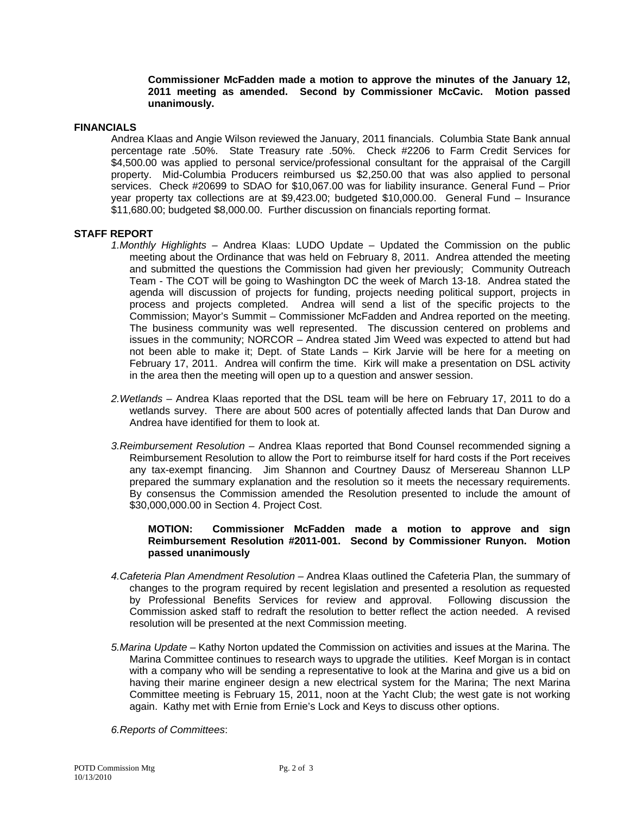#### **Commissioner McFadden made a motion to approve the minutes of the January 12, 2011 meeting as amended. Second by Commissioner McCavic. Motion passed unanimously.**

#### **FINANCIALS**

Andrea Klaas and Angie Wilson reviewed the January, 2011 financials. Columbia State Bank annual percentage rate .50%. State Treasury rate .50%. Check #2206 to Farm Credit Services for \$4,500.00 was applied to personal service/professional consultant for the appraisal of the Cargill property. Mid-Columbia Producers reimbursed us \$2,250.00 that was also applied to personal services. Check #20699 to SDAO for \$10,067.00 was for liability insurance. General Fund – Prior year property tax collections are at \$9,423.00; budgeted \$10,000.00. General Fund – Insurance \$11,680.00; budgeted \$8,000.00. Further discussion on financials reporting format.

#### **STAFF REPORT**

- *1.Monthly Highlights* Andrea Klaas: LUDO Update Updated the Commission on the public meeting about the Ordinance that was held on February 8, 2011. Andrea attended the meeting and submitted the questions the Commission had given her previously; Community Outreach Team - The COT will be going to Washington DC the week of March 13-18. Andrea stated the agenda will discussion of projects for funding, projects needing political support, projects in process and projects completed. Andrea will send a list of the specific projects to the Commission; Mayor's Summit – Commissioner McFadden and Andrea reported on the meeting. The business community was well represented. The discussion centered on problems and issues in the community; NORCOR – Andrea stated Jim Weed was expected to attend but had not been able to make it; Dept. of State Lands – Kirk Jarvie will be here for a meeting on February 17, 2011. Andrea will confirm the time. Kirk will make a presentation on DSL activity in the area then the meeting will open up to a question and answer session.
- *2.Wetlands* Andrea Klaas reported that the DSL team will be here on February 17, 2011 to do a wetlands survey. There are about 500 acres of potentially affected lands that Dan Durow and Andrea have identified for them to look at.
- *3.Reimbursement Resolution* Andrea Klaas reported that Bond Counsel recommended signing a Reimbursement Resolution to allow the Port to reimburse itself for hard costs if the Port receives any tax-exempt financing. Jim Shannon and Courtney Dausz of Mersereau Shannon LLP prepared the summary explanation and the resolution so it meets the necessary requirements. By consensus the Commission amended the Resolution presented to include the amount of \$30,000,000.00 in Section 4. Project Cost.

## **MOTION: Commissioner McFadden made a motion to approve and sign Reimbursement Resolution #2011-001. Second by Commissioner Runyon. Motion passed unanimously**

- *4.Cafeteria Plan Amendment Resolution* Andrea Klaas outlined the Cafeteria Plan, the summary of changes to the program required by recent legislation and presented a resolution as requested by Professional Benefits Services for review and approval. Following discussion the Commission asked staff to redraft the resolution to better reflect the action needed. A revised resolution will be presented at the next Commission meeting.
- *5.Marina Update* Kathy Norton updated the Commission on activities and issues at the Marina. The Marina Committee continues to research ways to upgrade the utilities. Keef Morgan is in contact with a company who will be sending a representative to look at the Marina and give us a bid on having their marine engineer design a new electrical system for the Marina; The next Marina Committee meeting is February 15, 2011, noon at the Yacht Club; the west gate is not working again. Kathy met with Ernie from Ernie's Lock and Keys to discuss other options.

*6.Reports of Committees*: